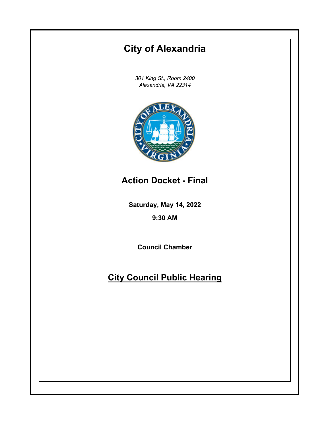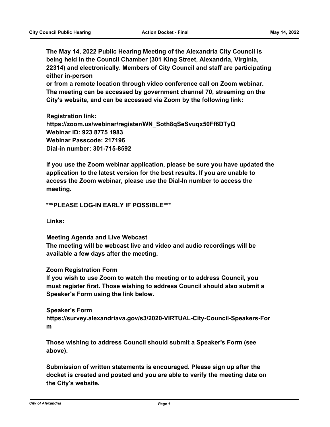**The May 14, 2022 Public Hearing Meeting of the Alexandria City Council is being held in the Council Chamber (301 King Street, Alexandria, Virginia, 22314) and electronically. Members of City Council and staff are participating either in-person**

**or from a remote location through video conference call on Zoom webinar. The meeting can be accessed by government channel 70, streaming on the City's website, and can be accessed via Zoom by the following link:**

**Registration link: https://zoom.us/webinar/register/WN\_Soth8qSeSvuqx50Ff6DTyQ Webinar ID: 923 8775 1983 Webinar Passcode: 217196 Dial-in number: 301-715-8592**

**If you use the Zoom webinar application, please be sure you have updated the application to the latest version for the best results. If you are unable to access the Zoom webinar, please use the Dial-In number to access the meeting.**

**\*\*\*PLEASE LOG-IN EARLY IF POSSIBLE\*\*\***

**Links:**

**Meeting Agenda and Live Webcast The meeting will be webcast live and video and audio recordings will be available a few days after the meeting.**

**Zoom Registration Form**

**If you wish to use Zoom to watch the meeting or to address Council, you must register first. Those wishing to address Council should also submit a Speaker's Form using the link below.**

#### **Speaker's Form**

**https://survey.alexandriava.gov/s3/2020-VIRTUAL-City-Council-Speakers-For m**

**Those wishing to address Council should submit a Speaker's Form (see above).**

**Submission of written statements is encouraged. Please sign up after the docket is created and posted and you are able to verify the meeting date on the City's website.**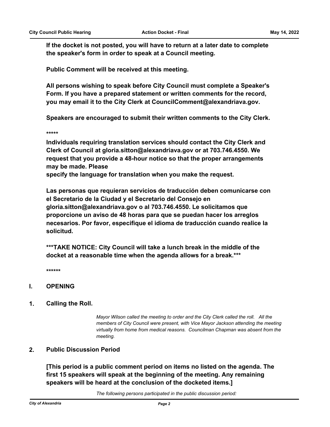**If the docket is not posted, you will have to return at a later date to complete the speaker's form in order to speak at a Council meeting.**

**Public Comment will be received at this meeting.**

**All persons wishing to speak before City Council must complete a Speaker's Form. If you have a prepared statement or written comments for the record, you may email it to the City Clerk at CouncilComment@alexandriava.gov.**

**Speakers are encouraged to submit their written comments to the City Clerk.**

**\*\*\*\*\***

**Individuals requiring translation services should contact the City Clerk and Clerk of Council at gloria.sitton@alexandriava.gov or at 703.746.4550. We request that you provide a 48-hour notice so that the proper arrangements may be made. Please**

**specify the language for translation when you make the request.**

**Las personas que requieran servicios de traducción deben comunicarse con el Secretario de la Ciudad y el Secretario del Consejo en gloria.sitton@alexandriava.gov o al 703.746.4550. Le solicitamos que proporcione un aviso de 48 horas para que se puedan hacer los arreglos necesarios. Por favor, especifique el idioma de traducción cuando realice la solicitud.**

**\*\*\*TAKE NOTICE: City Council will take a lunch break in the middle of the docket at a reasonable time when the agenda allows for a break.\*\*\***

**\*\*\*\*\*\***

## **I. OPENING**

#### **1. Calling the Roll.**

*Mayor Wilson called the meeting to order and the City Clerk called the roll. All the members of City Council were present, with Vice Mayor Jackson attending the meeting virtually from home from medical reasons. Councilman Chapman was absent from the meeting.*

## **2. Public Discussion Period**

**[This period is a public comment period on items no listed on the agenda. The first 15 speakers will speak at the beginning of the meeting. Any remaining speakers will be heard at the conclusion of the docketed items.]**

*The following persons participated in the public discussion period:*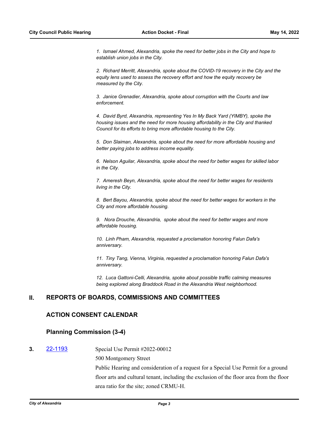*1. Ismael Ahmed, Alexandria, spoke the need for better jobs in the City and hope to establish union jobs in the City.*

*2. Richard Merritt, Alexandria, spoke about the COVID-19 recovery in the City and the equity lens used to assess the recovery effort and how the equity recovery be measured by the City.*

*3. Janice Grenadier, Alexandria, spoke about corruption with the Courts and law enforcement.*

*4. David Byrd, Alexandria, representing Yes In My Back Yard (YIMBY), spoke the housing issues and the need for more housing affordability in the City and thanked Council for its efforts to bring more affordable housing to the City.*

*5. Don Slaiman, Alexandria, spoke about the need for more affordable housing and better paying jobs to address income equality.*

*6. Nelson Aguilar, Alexandria, spoke about the need for better wages for skilled labor in the City.*

*7. Ameresh Beyn, Alexandria, spoke about the need for better wages for residents living in the City.*

*8. Bert Bayou, Alexandria, spoke about the need for better wages for workers in the City and more affordable housing.*

*9. Nora Drouche, Alexandria, spoke about the need for better wages and more affordable housing.* 

*10. Linh Pham, Alexandria, requested a proclamation honoring Falun Dafa's anniversary.*

*11. Tiny Tang, Vienna, Virginia, requested a proclamation honoring Falun Dafa's anniversary.* 

*12. Luca Gattoni-Celli, Alexandria, spoke about possible traffic calming measures being explored along Braddock Road in the Alexandria West neighborhood.*

## **II. REPORTS OF BOARDS, COMMISSIONS AND COMMITTEES**

## **ACTION CONSENT CALENDAR**

#### **Planning Commission (3-4)**

**3. [22-1193](http://alexandria.legistar.com/gateway.aspx?m=l&id=/matter.aspx?key=14791)** Special Use Permit #2022-00012

500 Montgomery Street

Public Hearing and consideration of a request for a Special Use Permit for a ground floor arts and cultural tenant, including the exclusion of the floor area from the floor area ratio for the site; zoned CRMU-H.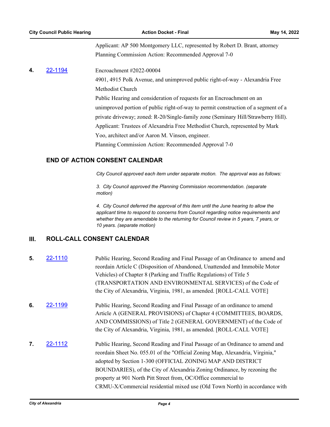Applicant: AP 500 Montgomery LLC, represented by Robert D. Brant, attorney Planning Commission Action: Recommended Approval 7-0

# **4.** [22-1194](http://alexandria.legistar.com/gateway.aspx?m=l&id=/matter.aspx?key=14792) Encroachment #2022-00004 4901, 4915 Polk Avenue, and unimproved public right-of-way - Alexandria Free Methodist Church Public Hearing and consideration of requests for an Encroachment on an unimproved portion of public right-of-way to permit construction of a segment of a private driveway; zoned: R-20/Single-family zone (Seminary Hill/Strawberry Hill). Applicant: Trustees of Alexandria Free Methodist Church, represented by Mark Yoo, architect and/or Aaron M. Vinson, engineer. Planning Commission Action: Recommended Approval 7-0

# **END OF ACTION CONSENT CALENDAR**

*City Council approved each item under separate motion. The approval was as follows:* 

*3. City Council approved the Planning Commission recommendation. (separate motion)*

*4. City Council deferred the approval of this item until the June hearing to allow the applicant time to respond to concerns from Council regarding notice requirements and whether they are amendable to the returning for Council review in 5 years, 7 years, or 10 years. (separate motion)*

# **III. ROLL-CALL CONSENT CALENDAR**

- **5.** [22-1110](http://alexandria.legistar.com/gateway.aspx?m=l&id=/matter.aspx?key=14708) Public Hearing, Second Reading and Final Passage of an Ordinance to amend and reordain Article C (Disposition of Abandoned, Unattended and Immobile Motor Vehicles) of Chapter 8 (Parking and Traffic Regulations) of Title 5 (TRANSPORTATION AND ENVIRONMENTAL SERVICES) of the Code of the City of Alexandria, Virginia, 1981, as amended. [ROLL-CALL VOTE]
- **6. [22-1199](http://alexandria.legistar.com/gateway.aspx?m=l&id=/matter.aspx?key=14797)** Public Hearing, Second Reading and Final Passage of an ordinance to amend Article A (GENERAL PROVISIONS) of Chapter 4 (COMMITTEES, BOARDS, AND COMMISSIONS) of Title 2 (GENERAL GOVERNMENT) of the Code of the City of Alexandria, Virginia, 1981, as amended. [ROLL-CALL VOTE]
- **7. [22-1112](http://alexandria.legistar.com/gateway.aspx?m=l&id=/matter.aspx?key=14710)** Public Hearing, Second Reading and Final Passage of an Ordinance to amend and reordain Sheet No. 055.01 of the "Official Zoning Map, Alexandria, Virginia," adopted by Section 1-300 (OFFICIAL ZONING MAP AND DISTRICT BOUNDARIES), of the City of Alexandria Zoning Ordinance, by rezoning the property at 901 North Pitt Street from, OC/Office commercial to CRMU-X/Commercial residential mixed use (Old Town North) in accordance with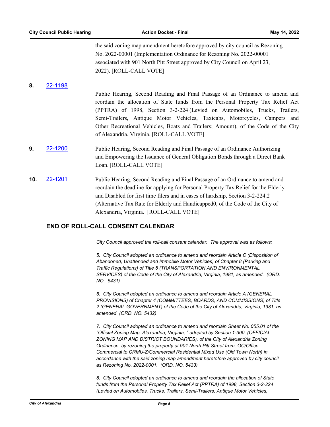the said zoning map amendment heretofore approved by city council as Rezoning No. 2022-00001 (Implementation Ordinance for Rezoning No. 2022-00001 associated with 901 North Pitt Street approved by City Council on April 23, 2022). [ROLL-CALL VOTE]

#### **8.** [22-1198](http://alexandria.legistar.com/gateway.aspx?m=l&id=/matter.aspx?key=14796)

Public Hearing, Second Reading and Final Passage of an Ordinance to amend and reordain the allocation of State funds from the Personal Property Tax Relief Act (PPTRA) of 1998, Section 3-2-224 (Levied on Automobiles, Trucks, Trailers, Semi-Trailers, Antique Motor Vehicles, Taxicabs, Motorcycles, Campers and Other Recreational Vehicles, Boats and Trailers; Amount), of the Code of the City of Alexandria, Virginia. [ROLL-CALL VOTE]

- **9.** [22-1200](http://alexandria.legistar.com/gateway.aspx?m=l&id=/matter.aspx?key=14798) Public Hearing, Second Reading and Final Passage of an Ordinance Authorizing and Empowering the Issuance of General Obligation Bonds through a Direct Bank Loan. [ROLL-CALL VOTE]
- **10.** [22-1201](http://alexandria.legistar.com/gateway.aspx?m=l&id=/matter.aspx?key=14799) Public Hearing, Second Reading and Final Passage of an Ordinance to amend and reordain the deadline for applying for Personal Property Tax Relief for the Elderly and Disabled for first time filers and in cases of hardship, Section 3-2-224.2 (Alternative Tax Rate for Elderly and Handicapped0, of the Code of the City of Alexandria, Virginia. [ROLL-CALL VOTE]

## **END OF ROLL-CALL CONSENT CALENDAR**

*City Council approved the roll-call consent calendar. The approval was as follows:*

*5. City Council adopted an ordinance to amend and reordain Article C (Disposition of Abandoned, Unattended and Immobile Motor Vehicles) of Chapter 8 (Parking and Traffic Regulations) of Title 5 (TRANSPORTATION AND ENVIRONMENTAL SERVICES) of the Code of the City of Alexandria, Virginia, 1981, as amended. (ORD. NO. 5431)*

*6. City Council adopted an ordinance to amend and reordain Article A (GENERAL PROVISIONS) of Chapter 4 (COMMITTEES, BOARDS, AND COMMISSIONS) of Title 2 (GENERAL GOVERNMENT) of the Code of the City of Alexandria, Virginia, 1981, as amended. (ORD. NO. 5432)*

*7. City Council adopted an ordinance to amend and reordain Sheet No. 055.01 of the "Official Zoning Map, Alexandria, Virginia, " adopted by Section 1-300 (OFFICIAL ZONING MAP AND DISTRICT BOUNDARIES), of the City of Alexandria Zoning Ordinance, by rezoning the property at 901 North Pitt Street from, OC/Office Commercial to CRMU-Z/Commercial Residential Mixed Use (Old Town North) in accordance with the said zoning map amendment heretofore approved by city council as Rezoning No. 2022-0001. (ORD. NO. 5433)*

*8. City Council adopted an ordinance to amend and reordain the allocation of State funds from the Personal Property Tax Relief Act (PPTRA) of 1998, Section 3-2-224 (Levied on Automobiles, Trucks, Trailers, Semi-Trailers, Antique Motor Vehicles,*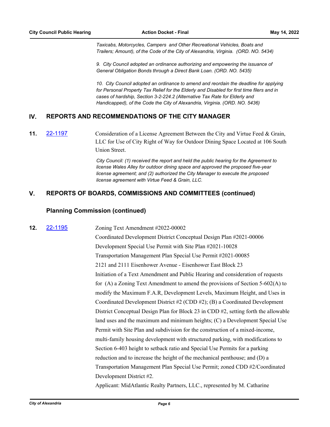*Taxicabs, Motorcycles, Campers and Other Recreational Vehicles, Boats and Trailers; Amount), of the Code of the City of Alexandria, Virginia. (ORD. NO. 5434)*

*9. City Council adopted an ordinance authorizing and empowering the issuance of General Obligation Bonds through a Direct Bank Loan. (ORD. NO. 5435)*

*10. City Council adopted an ordinance to amend and reordain the deadline for applying for Personal Property Tax Relief for the Elderly and Disabled for first time filers and in cases of hardship, Section 3-2-224.2 (Alternative Tax Rate for Elderly and Handicapped), of the Code the City of Alexandria, Virginia. (ORD. NO. 5436)*

# **IV. REPORTS AND RECOMMENDATIONS OF THE CITY MANAGER**

**11. [22-1197](http://alexandria.legistar.com/gateway.aspx?m=l&id=/matter.aspx?key=14795)** Consideration of a License Agreement Between the City and Virtue Feed & Grain, LLC for Use of City Right of Way for Outdoor Dining Space Located at 106 South Union Street.

> *City Council: (1) received the report and held the public hearing for the Agreement to license Wales Alley for outdoor dining space and approved the proposed five-year license agreement; and (2) authorized the City Manager to execute the proposed license agreement with Virtue Feed & Grain, LLC.*

# **V. REPORTS OF BOARDS, COMMISSIONS AND COMMITTEES (continued)**

#### **Planning Commission (continued)**

## **12.** [22-1195](http://alexandria.legistar.com/gateway.aspx?m=l&id=/matter.aspx?key=14793) Zoning Text Amendment #2022-00002

Coordinated Development District Conceptual Design Plan #2021-00006 Development Special Use Permit with Site Plan #2021-10028 Transportation Management Plan Special Use Permit #2021-00085 2121 and 2111 Eisenhower Avenue - Eisenhower East Block 23 Initiation of a Text Amendment and Public Hearing and consideration of requests for (A) a Zoning Text Amendment to amend the provisions of Section 5-602(A) to modify the Maximum F.A.R, Development Levels, Maximum Height, and Uses in Coordinated Development District #2 (CDD #2); (B) a Coordinated Development District Conceptual Design Plan for Block 23 in CDD #2, setting forth the allowable land uses and the maximum and minimum heights; (C) a Development Special Use Permit with Site Plan and subdivision for the construction of a mixed-income, multi-family housing development with structured parking, with modifications to Section 6-403 height to setback ratio and Special Use Permits for a parking reduction and to increase the height of the mechanical penthouse; and (D) a Transportation Management Plan Special Use Permit; zoned CDD #2/Coordinated Development District #2.

Applicant: MidAtlantic Realty Partners, LLC., represented by M. Catharine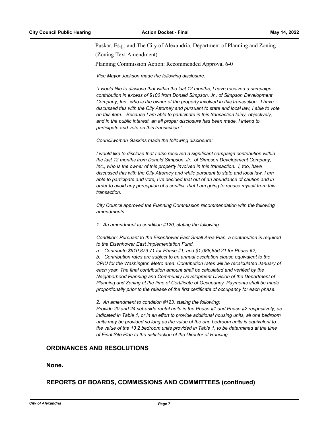Puskar, Esq.; and The City of Alexandria, Department of Planning and Zoning

(Zoning Text Amendment)

Planning Commission Action: Recommended Approval 6-0

*Vice Mayor Jackson made the following disclosure:*

*"I would like to disclose that within the last 12 months, I have received a campaign contribution in excess of \$100 from Donald Simpson, Jr., of Simpson Development Company, Inc., who is the owner of the property involved in this transaction. I have discussed this with the City Attorney and pursuant to state and local law, I able to vote on this item. Because I am able to participate in this transaction fairly, objectively, and in the public interest, an all proper disclosure has been made. I intend to participate and vote on this transaction."*

*Councilwoman Gaskins made the following disclosure:*

*I would like to disclose that I also received a significant campaign contribution within the last 12 months from Donald Simpson, Jr., of Simpson Development Company, Inc., who is the owner of this property involved in this transaction. I, too, have discussed this with the City Attorney and while pursuant to state and local law, I am able to participate and vote, I've decided that out of an abundance of caution and in order to avoid any perception of a conflict, that I am going to recuse myself from this transaction.*

*City Council approved the Planning Commission recommendation with the following amendments:*

*1. An amendment to condition #120, stating the following:*

*Condition: Pursuant to the Eisenhower East Small Area Plan, a contribution is required to the Eisenhower East Implementation Fund.* 

*a. Contribute \$910,879.71 for Phase #1, and \$1,088,856.21 for Phase #2;*

*b. Contribution rates are subject to an annual escalation clause equivalent to the CPIU for the Washington Metro area. Contribution rates will be recalculated January of each year. The final contribution amount shall be calculated and verified by the Neighborhood Planning and Community Development Division of the Department of Planning and Zoning at the time of Certificate of Occupancy. Payments shall be made proportionally prior to the release of the first certificate of occupancy for each phase.*

*2. An amendment to condition #123, stating the following: Provide 20 and 24 set-aside rental units in the Phase #1 and Phase #2 respectively, as indicated in Table 1, or in an effort to provide additional housing units, all one bedroom units may be provided so long as the value of the one bedroom units is equivalent to the value of the 13 2 bedroom units provided in Table 1, to be determined at the time of Final Site Plan to the satisfaction of the Director of Housing.*

# **ORDINANCES AND RESOLUTIONS**

#### **None.**

# **REPORTS OF BOARDS, COMMISSIONS AND COMMITTEES (continued)**